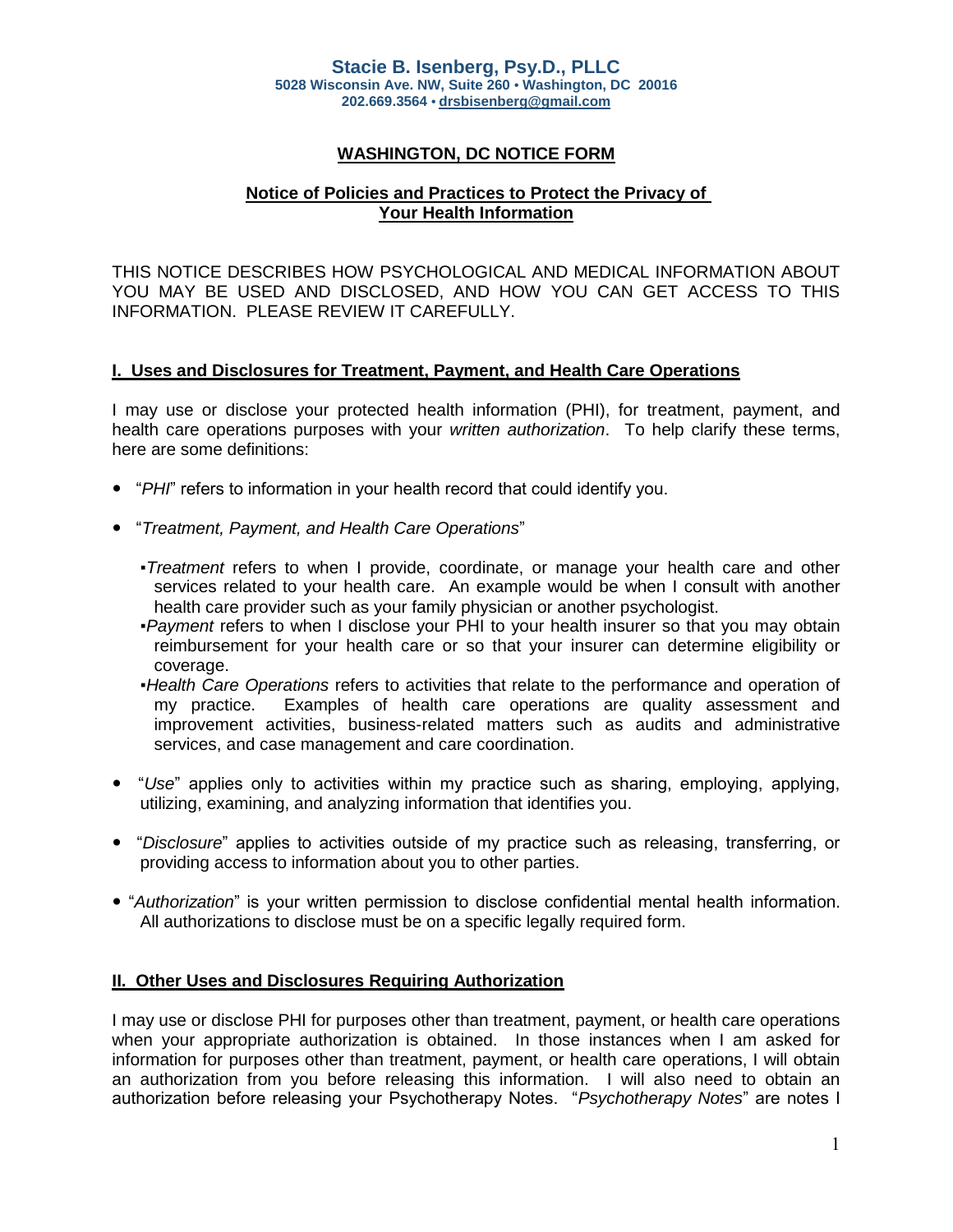# **WASHINGTON, DC NOTICE FORM**

## **Notice of Policies and Practices to Protect the Privacy of Your Health Information**

THIS NOTICE DESCRIBES HOW PSYCHOLOGICAL AND MEDICAL INFORMATION ABOUT YOU MAY BE USED AND DISCLOSED, AND HOW YOU CAN GET ACCESS TO THIS INFORMATION. PLEASE REVIEW IT CAREFULLY.

#### **I. Uses and Disclosures for Treatment, Payment, and Health Care Operations**

I may use or disclose your protected health information (PHI), for treatment, payment, and health care operations purposes with your *written authorization*. To help clarify these terms, here are some definitions:

- "*PHI*" refers to information in your health record that could identify you.
- "*Treatment, Payment, and Health Care Operations*"
	- *▪Treatment* refers to when I provide, coordinate, or manage your health care and other services related to your health care. An example would be when I consult with another health care provider such as your family physician or another psychologist.
	- *▪Payment* refers to when I disclose your PHI to your health insurer so that you may obtain reimbursement for your health care or so that your insurer can determine eligibility or coverage.
	- *▪Health Care Operations* refers to activities that relate to the performance and operation of my practice. Examples of health care operations are quality assessment and improvement activities, business-related matters such as audits and administrative services, and case management and care coordination.
- "Use" applies only to activities within my practice such as sharing, employing, applying, utilizing, examining, and analyzing information that identifies you.
- "*Disclosure*" applies to activities outside of my practice such as releasing, transferring, or providing access to information about you to other parties.
- "*Authorization*" is your written permission to disclose confidential mental health information. All authorizations to disclose must be on a specific legally required form.

#### **II. Other Uses and Disclosures Requiring Authorization**

I may use or disclose PHI for purposes other than treatment, payment, or health care operations when your appropriate authorization is obtained. In those instances when I am asked for information for purposes other than treatment, payment, or health care operations, I will obtain an authorization from you before releasing this information. I will also need to obtain an authorization before releasing your Psychotherapy Notes. "*Psychotherapy Notes*" are notes I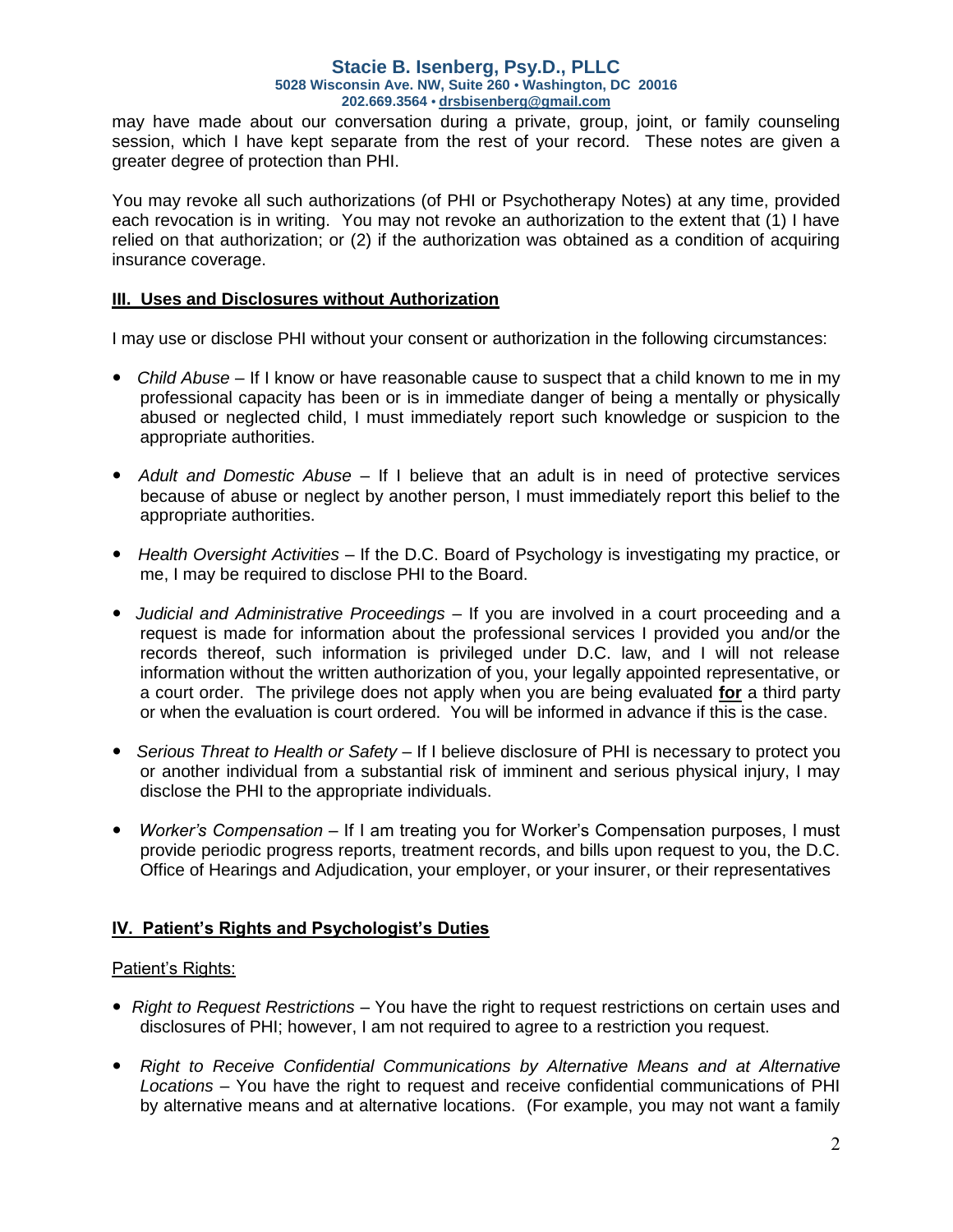#### **Stacie B. Isenberg, Psy.D., PLLC 5028 Wisconsin Ave. NW, Suite 260 • Washington, DC 20016 202.669.3564 • [drsbisenberg@gmail.com](mailto:drsbisenberg@gmail.com)**

may have made about our conversation during a private, group, joint, or family counseling session, which I have kept separate from the rest of your record. These notes are given a greater degree of protection than PHI.

You may revoke all such authorizations (of PHI or Psychotherapy Notes) at any time, provided each revocation is in writing. You may not revoke an authorization to the extent that (1) I have relied on that authorization; or (2) if the authorization was obtained as a condition of acquiring insurance coverage.

## **III. Uses and Disclosures without Authorization**

I may use or disclose PHI without your consent or authorization in the following circumstances:

- *Child Abuse*  If I know or have reasonable cause to suspect that a child known to me in my professional capacity has been or is in immediate danger of being a mentally or physically abused or neglected child, I must immediately report such knowledge or suspicion to the appropriate authorities.
- *Adult and Domestic Abuse* If I believe that an adult is in need of protective services because of abuse or neglect by another person, I must immediately report this belief to the appropriate authorities.
- *Health Oversight Activities* If the D.C. Board of Psychology is investigating my practice, or me, I may be required to disclose PHI to the Board.
- *Judicial and Administrative Proceedings*  If you are involved in a court proceeding and a request is made for information about the professional services I provided you and/or the records thereof, such information is privileged under D.C. law, and I will not release information without the written authorization of you, your legally appointed representative, or a court order. The privilege does not apply when you are being evaluated **for** a third party or when the evaluation is court ordered. You will be informed in advance if this is the case.
- *Serious Threat to Health or Safety*  If I believe disclosure of PHI is necessary to protect you or another individual from a substantial risk of imminent and serious physical injury, I may disclose the PHI to the appropriate individuals.
- *Worker's Compensation*  If I am treating you for Worker's Compensation purposes, I must provide periodic progress reports, treatment records, and bills upon request to you, the D.C. Office of Hearings and Adjudication, your employer, or your insurer, or their representatives

## **IV. Patient's Rights and Psychologist's Duties**

## Patient's Rights:

- *Right to Request Restrictions*  You have the right to request restrictions on certain uses and disclosures of PHI; however, I am not required to agree to a restriction you request.
- *Right to Receive Confidential Communications by Alternative Means and at Alternative Locations* – You have the right to request and receive confidential communications of PHI by alternative means and at alternative locations. (For example, you may not want a family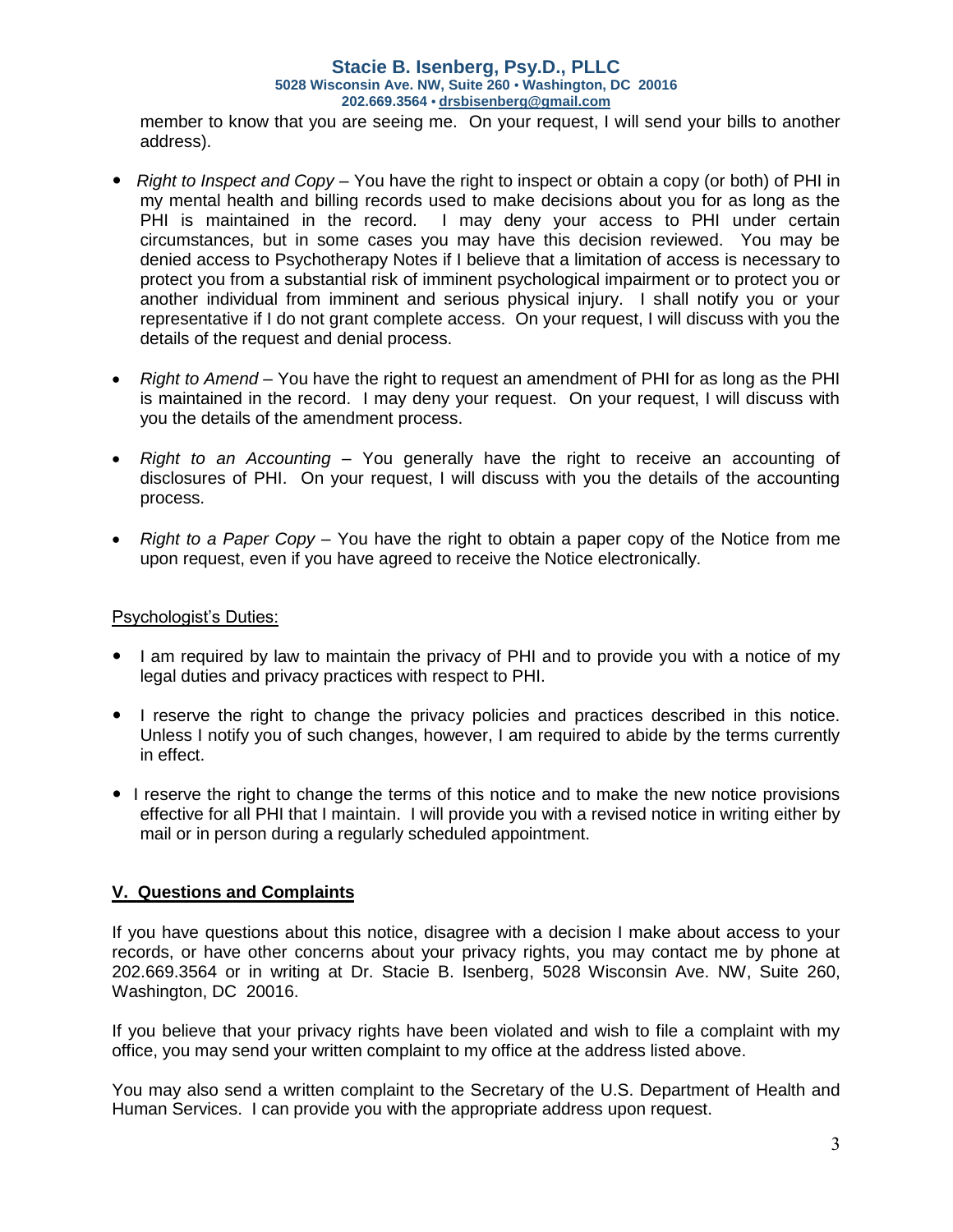#### **Stacie B. Isenberg, Psy.D., PLLC 5028 Wisconsin Ave. NW, Suite 260 • Washington, DC 20016 202.669.3564 • [drsbisenberg@gmail.com](mailto:drsbisenberg@gmail.com)**

member to know that you are seeing me. On your request, I will send your bills to another address).

- *Right to Inspect and Copy*  You have the right to inspect or obtain a copy (or both) of PHI in my mental health and billing records used to make decisions about you for as long as the PHI is maintained in the record. I may deny your access to PHI under certain circumstances, but in some cases you may have this decision reviewed. You may be denied access to Psychotherapy Notes if I believe that a limitation of access is necessary to protect you from a substantial risk of imminent psychological impairment or to protect you or another individual from imminent and serious physical injury. I shall notify you or your representative if I do not grant complete access. On your request, I will discuss with you the details of the request and denial process.
- *Right to Amend*  You have the right to request an amendment of PHI for as long as the PHI is maintained in the record. I may deny your request. On your request, I will discuss with you the details of the amendment process.
- *Right to an Accounting*  You generally have the right to receive an accounting of disclosures of PHI. On your request, I will discuss with you the details of the accounting process.
- *Right to a Paper Copy*  You have the right to obtain a paper copy of the Notice from me upon request, even if you have agreed to receive the Notice electronically.

## Psychologist's Duties:

- I am required by law to maintain the privacy of PHI and to provide you with a notice of my legal duties and privacy practices with respect to PHI.
- I reserve the right to change the privacy policies and practices described in this notice. Unless I notify you of such changes, however, I am required to abide by the terms currently in effect.
- I reserve the right to change the terms of this notice and to make the new notice provisions effective for all PHI that I maintain. I will provide you with a revised notice in writing either by mail or in person during a regularly scheduled appointment.

## **V. Questions and Complaints**

If you have questions about this notice, disagree with a decision I make about access to your records, or have other concerns about your privacy rights, you may contact me by phone at 202.669.3564 or in writing at Dr. Stacie B. Isenberg, 5028 Wisconsin Ave. NW, Suite 260, Washington, DC 20016.

If you believe that your privacy rights have been violated and wish to file a complaint with my office, you may send your written complaint to my office at the address listed above.

You may also send a written complaint to the Secretary of the U.S. Department of Health and Human Services. I can provide you with the appropriate address upon request.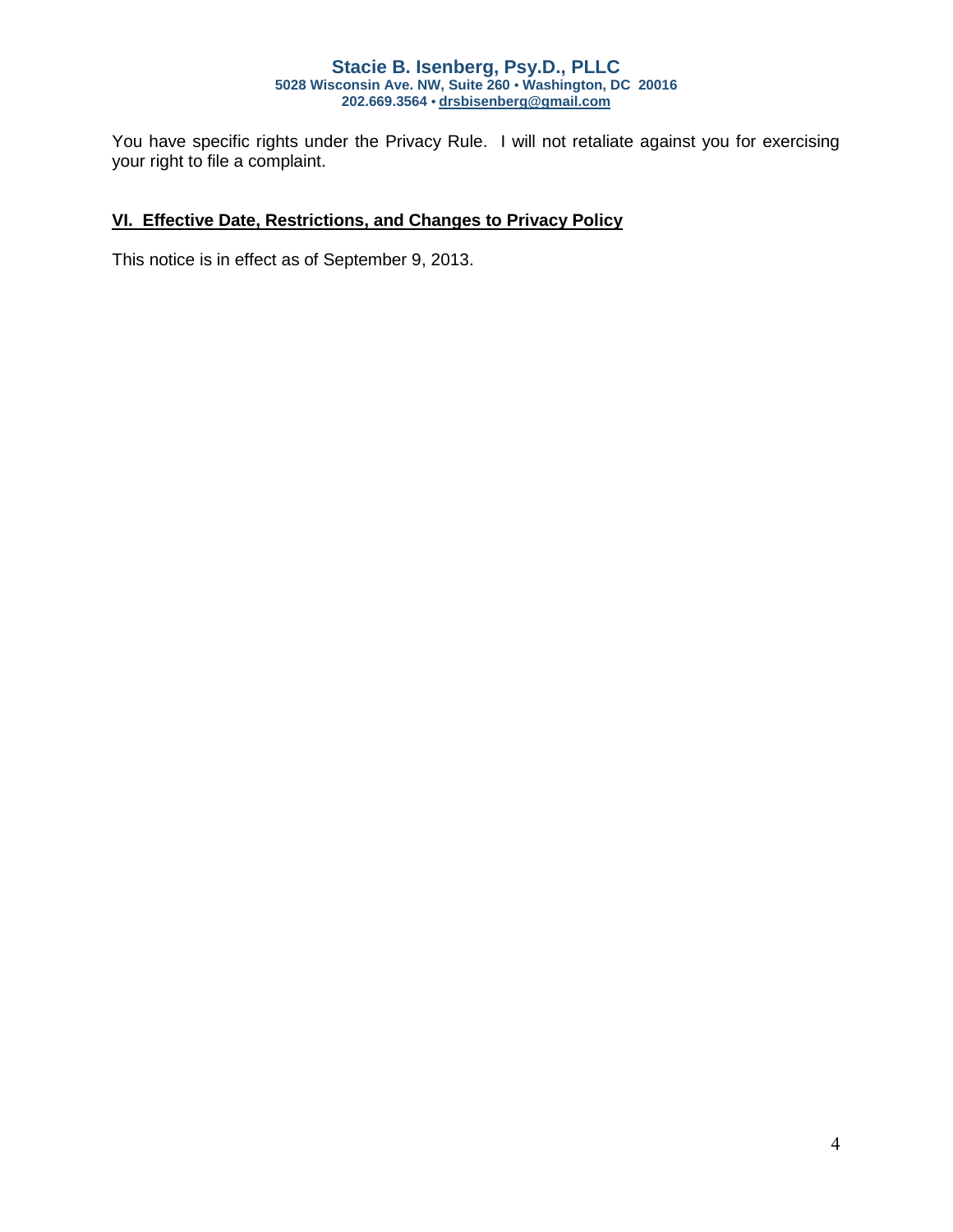#### **Stacie B. Isenberg, Psy.D., PLLC 5028 Wisconsin Ave. NW, Suite 260 • Washington, DC 20016 202.669.3564 • [drsbisenberg@gmail.com](mailto:drsbisenberg@gmail.com)**

You have specific rights under the Privacy Rule. I will not retaliate against you for exercising your right to file a complaint.

# **VI. Effective Date, Restrictions, and Changes to Privacy Policy**

This notice is in effect as of September 9, 2013.